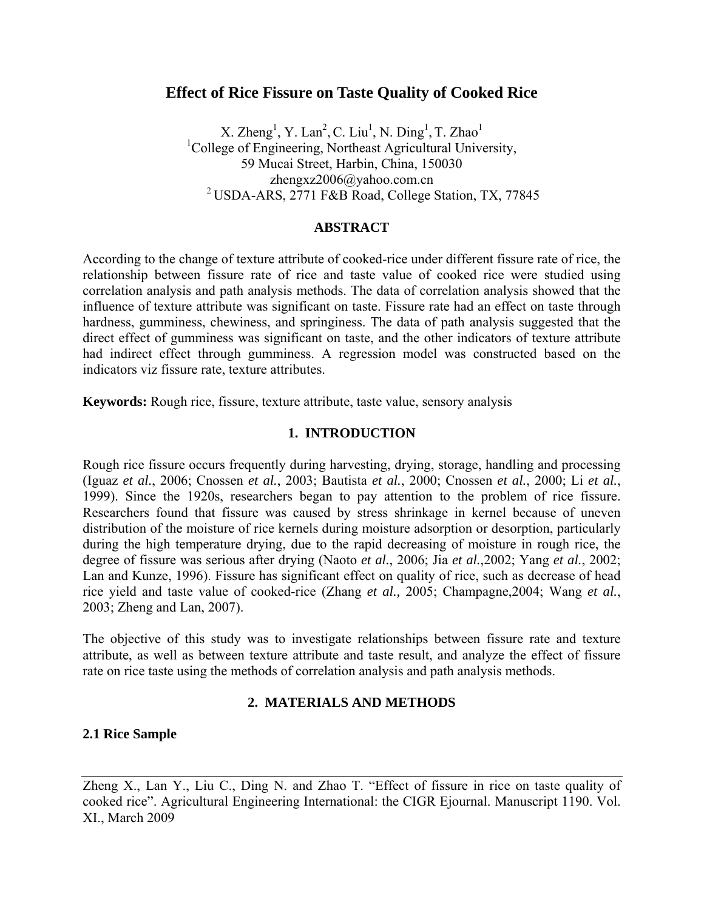# **Effect of Rice Fissure on Taste Quality of Cooked Rice**

X. Zheng<sup>1</sup>, Y. Lan<sup>2</sup>, C. Liu<sup>1</sup>, N. Ding<sup>1</sup>, T. Zhao<sup>1</sup> <sup>1</sup>College of Engineering, Northeast Agricultural University, 59 Mucai Street, Harbin, China, 150030 zhengxz2006@yahoo.com.cn 2 USDA-ARS, 2771 F&B Road, College Station, TX, 77845

## **ABSTRACT**

According to the change of texture attribute of cooked-rice under different fissure rate of rice, the relationship between fissure rate of rice and taste value of cooked rice were studied using correlation analysis and path analysis methods. The data of correlation analysis showed that the influence of texture attribute was significant on taste. Fissure rate had an effect on taste through hardness, gumminess, chewiness, and springiness. The data of path analysis suggested that the direct effect of gumminess was significant on taste, and the other indicators of texture attribute had indirect effect through gumminess. A regression model was constructed based on the indicators viz fissure rate, texture attributes.

**Keywords:** Rough rice, fissure, texture attribute, taste value, sensory analysis

## **1. INTRODUCTION**

Rough rice fissure occurs frequently during harvesting, drying, storage, handling and processing (Iguaz *et al.*, 2006; Cnossen *et al.*, 2003; Bautista *et al.*, 2000; Cnossen *et al.*, 2000; Li *et al.*, 1999). Since the 1920s, researchers began to pay attention to the problem of rice fissure. Researchers found that fissure was caused by stress shrinkage in kernel because of uneven distribution of the moisture of rice kernels during moisture adsorption or desorption, particularly during the high temperature drying, due to the rapid decreasing of moisture in rough rice, the degree of fissure was serious after drying (Naoto *et al.*, 2006; Jia *et al.*,2002; Yang *et al.*, 2002; Lan and Kunze, 1996). Fissure has significant effect on quality of rice, such as decrease of head rice yield and taste value of cooked-rice (Zhang *et al.,* 2005; Champagne,2004; Wang *et al.*, 2003; Zheng and Lan, 2007).

The objective of this study was to investigate relationships between fissure rate and texture attribute, as well as between texture attribute and taste result, and analyze the effect of fissure rate on rice taste using the methods of correlation analysis and path analysis methods.

## **2. MATERIALS AND METHODS**

## **2.1 Rice Sample**

Zheng X., Lan Y., Liu C., Ding N. and Zhao T. "Effect of fissure in rice on taste quality of cooked rice". Agricultural Engineering International: the CIGR Ejournal. Manuscript 1190. Vol. XI., March 2009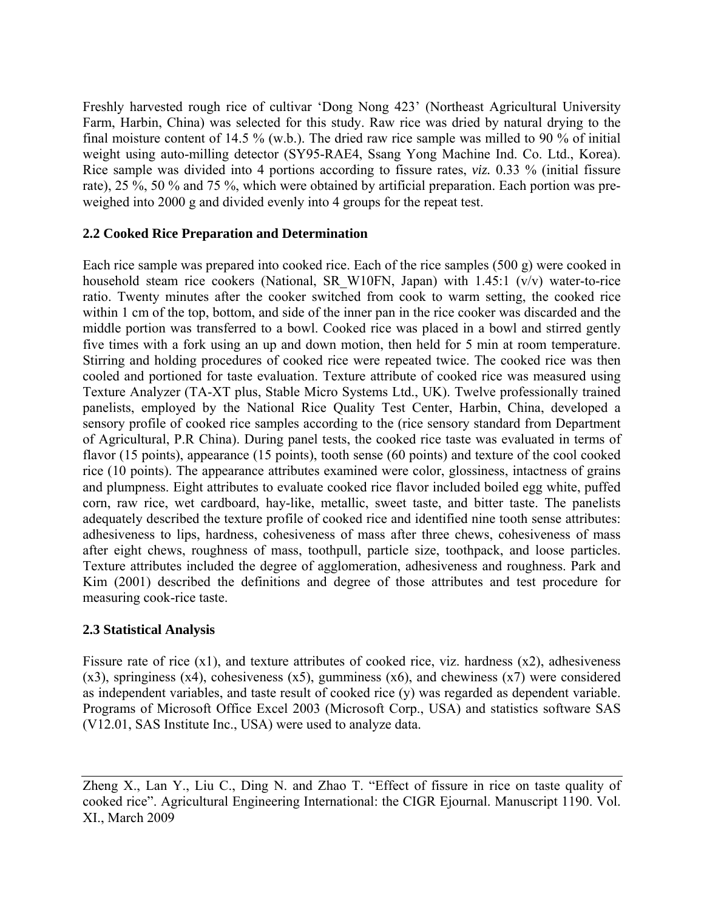Freshly harvested rough rice of cultivar 'Dong Nong 423' (Northeast Agricultural University Farm, Harbin, China) was selected for this study. Raw rice was dried by natural drying to the final moisture content of 14.5 % (w.b.). The dried raw rice sample was milled to 90 % of initial weight using auto-milling detector (SY95-RAE4, Ssang Yong Machine Ind. Co. Ltd., Korea). Rice sample was divided into 4 portions according to fissure rates, *viz.* 0.33 % (initial fissure rate), 25 %, 50 % and 75 %, which were obtained by artificial preparation. Each portion was preweighed into 2000 g and divided evenly into 4 groups for the repeat test.

## **2.2 Cooked Rice Preparation and Determination**

Each rice sample was prepared into cooked rice. Each of the rice samples (500 g) were cooked in household steam rice cookers (National, SR W10FN, Japan) with 1.45:1 (v/v) water-to-rice ratio. Twenty minutes after the cooker switched from cook to warm setting, the cooked rice within 1 cm of the top, bottom, and side of the inner pan in the rice cooker was discarded and the middle portion was transferred to a bowl. Cooked rice was placed in a bowl and stirred gently five times with a fork using an up and down motion, then held for 5 min at room temperature. Stirring and holding procedures of cooked rice were repeated twice. The cooked rice was then cooled and portioned for taste evaluation. Texture attribute of cooked rice was measured using Texture Analyzer (TA-XT plus, Stable Micro Systems Ltd., UK). Twelve professionally trained panelists, employed by the National Rice Quality Test Center, Harbin, China, developed a sensory profile of cooked rice samples according to the (rice sensory standard from Department of Agricultural, P.R China). During panel tests, the cooked rice taste was evaluated in terms of flavor (15 points), appearance (15 points), tooth sense (60 points) and texture of the cool cooked rice (10 points). The appearance attributes examined were color, glossiness, intactness of grains and plumpness. Eight attributes to evaluate cooked rice flavor included boiled egg white, puffed corn, raw rice, wet cardboard, hay-like, metallic, sweet taste, and bitter taste. The panelists adequately described the texture profile of cooked rice and identified nine tooth sense attributes: adhesiveness to lips, hardness, cohesiveness of mass after three chews, cohesiveness of mass after eight chews, roughness of mass, toothpull, particle size, toothpack, and loose particles. Texture attributes included the degree of agglomeration, adhesiveness and roughness. Park and Kim (2001) described the definitions and degree of those attributes and test procedure for measuring cook-rice taste.

## **2.3 Statistical Analysis**

Fissure rate of rice (x1), and texture attributes of cooked rice, viz. hardness (x2), adhesiveness  $(x3)$ , springiness  $(x4)$ , cohesiveness  $(x5)$ , gumminess  $(x6)$ , and chewiness  $(x7)$  were considered as independent variables, and taste result of cooked rice (y) was regarded as dependent variable. Programs of Microsoft Office Excel 2003 (Microsoft Corp., USA) and statistics software SAS (V12.01, SAS Institute Inc., USA) were used to analyze data.

Zheng X., Lan Y., Liu C., Ding N. and Zhao T. "Effect of fissure in rice on taste quality of cooked rice". Agricultural Engineering International: the CIGR Ejournal. Manuscript 1190. Vol. XI., March 2009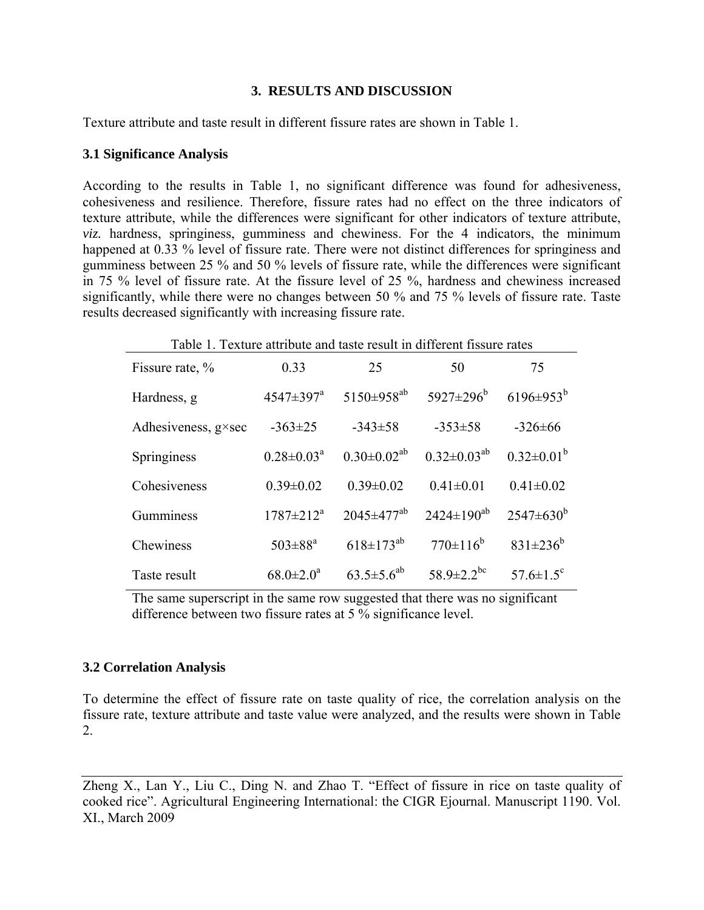## **3. RESULTS AND DISCUSSION**

Texture attribute and taste result in different fissure rates are shown in Table 1.

#### **3.1 Significance Analysis**

According to the results in Table 1, no significant difference was found for adhesiveness, cohesiveness and resilience. Therefore, fissure rates had no effect on the three indicators of texture attribute, while the differences were significant for other indicators of texture attribute, *viz.* hardness, springiness, gumminess and chewiness. For the 4 indicators, the minimum happened at 0.33 % level of fissure rate. There were not distinct differences for springiness and gumminess between 25 % and 50 % levels of fissure rate, while the differences were significant in 75 % level of fissure rate. At the fissure level of 25 %, hardness and chewiness increased significantly, while there were no changes between 50 % and 75 % levels of fissure rate. Taste results decreased significantly with increasing fissure rate.

| Table 1. Texture attribute and taste result in different fissure rates |                           |                              |                      |                             |  |  |  |
|------------------------------------------------------------------------|---------------------------|------------------------------|----------------------|-----------------------------|--|--|--|
| Fissure rate, %                                                        | 0.33                      | 25                           | 50                   | 75                          |  |  |  |
| Hardness, g                                                            | $4547 \pm 397^{\text{a}}$ | $5150\pm958^{ab}$            | $5927 \pm 296^b$     | $6196 \pm 953^b$            |  |  |  |
| Adhesiveness, $g \times \sec$                                          | $-363\pm25$               | $-343\pm58$                  | $-353\pm58$          | $-326 \pm 66$               |  |  |  |
| Springiness                                                            | $0.28 \pm 0.03^a$         | $0.30 \pm 0.02^{ab}$         | $0.32 \pm 0.03^{ab}$ | $0.32 \pm 0.01^b$           |  |  |  |
| Cohesiveness                                                           | $0.39 \pm 0.02$           | $0.39 \pm 0.02$              | $0.41 \pm 0.01$      | $0.41 \pm 0.02$             |  |  |  |
| Gumminess                                                              | $1787 \pm 212^a$          | $2045 \pm 477$ <sup>ab</sup> | $2424 \pm 190^{ab}$  | $2547 \pm 630^b$            |  |  |  |
| Chewiness                                                              | $503 \pm 88^{\rm a}$      | $618 \pm 173^{ab}$           | $770\pm116^b$        | $831 \pm 236^b$             |  |  |  |
| Taste result                                                           | $68.0 \pm 2.0^a$          | $63.5 \pm 5.6^{ab}$          | $58.9 \pm 2.2^{bc}$  | $57.6 \pm 1.5$ <sup>c</sup> |  |  |  |

Table 1. Texture attribute and taste result in different fissure rates

The same superscript in the same row suggested that there was no significant difference between two fissure rates at 5 % significance level.

#### **3.2 Correlation Analysis**

To determine the effect of fissure rate on taste quality of rice, the correlation analysis on the fissure rate, texture attribute and taste value were analyzed, and the results were shown in Table 2.

Zheng X., Lan Y., Liu C., Ding N. and Zhao T. "Effect of fissure in rice on taste quality of cooked rice". Agricultural Engineering International: the CIGR Ejournal. Manuscript 1190. Vol. XI., March 2009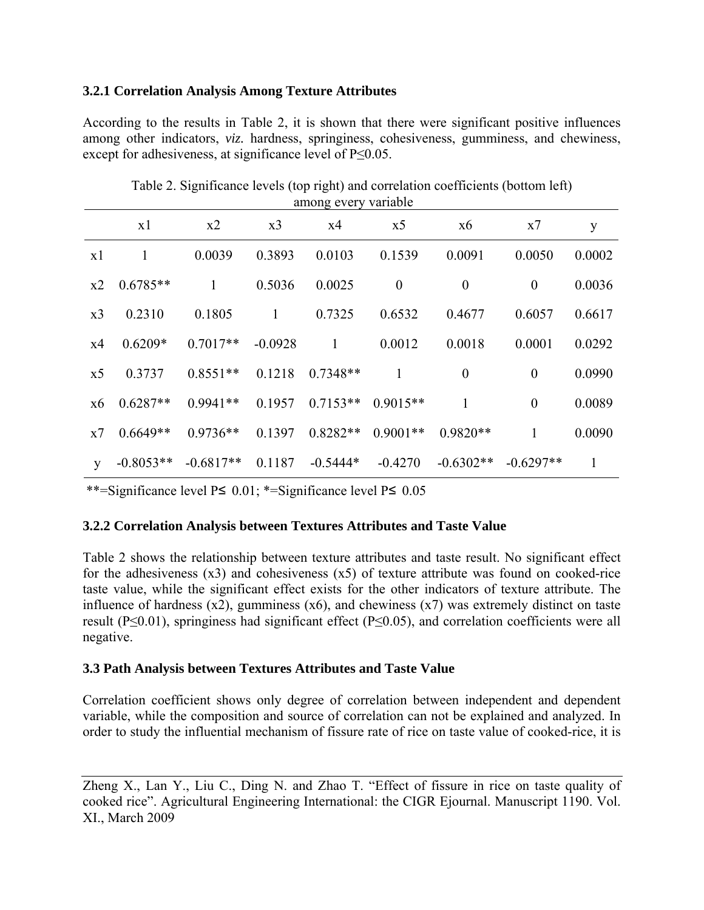## **3.2.1 Correlation Analysis Among Texture Attributes**

According to the results in Table 2, it is shown that there were significant positive influences among other indicators, *viz.* hardness, springiness, cohesiveness, gumminess, and chewiness, except for adhesiveness, at significance level of P≤0.05.

| alliong every variable |             |             |                |            |                  |                  |                  |              |
|------------------------|-------------|-------------|----------------|------------|------------------|------------------|------------------|--------------|
|                        | x1          | x2          | x <sub>3</sub> | x4         | x <sub>5</sub>   | x6               | x7               | y            |
| x1                     | 1           | 0.0039      | 0.3893         | 0.0103     | 0.1539           | 0.0091           | 0.0050           | 0.0002       |
| x2                     | $0.6785**$  | 1           | 0.5036         | 0.0025     | $\boldsymbol{0}$ | $\boldsymbol{0}$ | $\theta$         | 0.0036       |
| x3                     | 0.2310      | 0.1805      | $\mathbf{1}$   | 0.7325     | 0.6532           | 0.4677           | 0.6057           | 0.6617       |
| x4                     | $0.6209*$   | $0.7017**$  | $-0.0928$      | 1          | 0.0012           | 0.0018           | 0.0001           | 0.0292       |
| x5                     | 0.3737      | $0.8551**$  | 0.1218         | $0.7348**$ | 1                | $\boldsymbol{0}$ | $\boldsymbol{0}$ | 0.0990       |
| x6                     | $0.6287**$  | $0.9941**$  | 0.1957         | $0.7153**$ | $0.9015**$       | 1                | $\theta$         | 0.0089       |
| x7                     | $0.6649**$  | $0.9736**$  | 0.1397         | $0.8282**$ | $0.9001**$       | $0.9820**$       | 1                | 0.0090       |
| y                      | $-0.8053**$ | $-0.6817**$ | 0.1187         | $-0.5444*$ | $-0.4270$        | $-0.6302**$      | $-0.6297**$      | $\mathbf{1}$ |
|                        |             |             |                |            |                  |                  |                  |              |

Table 2. Significance levels (top right) and correlation coefficients (bottom left) among every variable

\*\*=Significance level P≤ 0.01; \*=Significance level P≤ 0.05

## **3.2.2 Correlation Analysis between Textures Attributes and Taste Value**

Table 2 shows the relationship between texture attributes and taste result. No significant effect for the adhesiveness (x3) and cohesiveness (x5) of texture attribute was found on cooked-rice taste value, while the significant effect exists for the other indicators of texture attribute. The influence of hardness  $(x2)$ , gumminess  $(x6)$ , and chewiness  $(x7)$  was extremely distinct on taste result (P≤0.01), springiness had significant effect (P≤0.05), and correlation coefficients were all negative.

## **3.3 Path Analysis between Textures Attributes and Taste Value**

Correlation coefficient shows only degree of correlation between independent and dependent variable, while the composition and source of correlation can not be explained and analyzed. In order to study the influential mechanism of fissure rate of rice on taste value of cooked-rice, it is

Zheng X., Lan Y., Liu C., Ding N. and Zhao T. "Effect of fissure in rice on taste quality of cooked rice". Agricultural Engineering International: the CIGR Ejournal. Manuscript 1190. Vol. XI., March 2009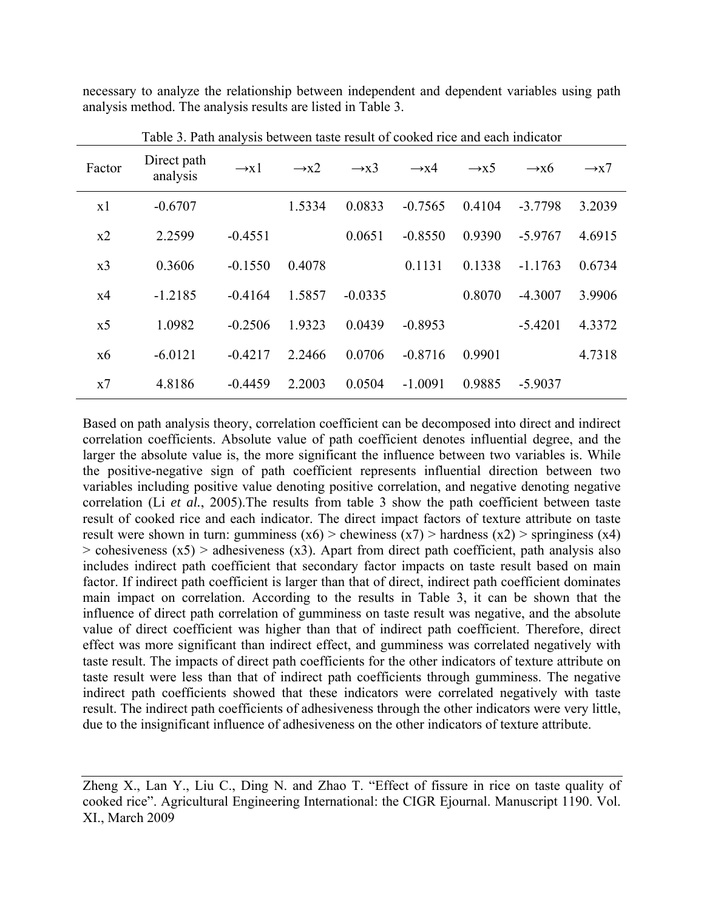necessary to analyze the relationship between independent and dependent variables using path analysis method. The analysis results are listed in Table 3.

| Factor         | Direct path<br>analysis | $\rightarrow x1$ | $\rightarrow x2$ | $\rightarrow x3$ | $\rightarrow x4$ | $\rightarrow x5$ | $\rightarrow x6$ | $\rightarrow x7$ |
|----------------|-------------------------|------------------|------------------|------------------|------------------|------------------|------------------|------------------|
| x1             | $-0.6707$               |                  | 1.5334           | 0.0833           | $-0.7565$        | 0.4104           | $-3.7798$        | 3.2039           |
| x2             | 2.2599                  | $-0.4551$        |                  | 0.0651           | $-0.8550$        | 0.9390           | $-5.9767$        | 4.6915           |
| x <sub>3</sub> | 0.3606                  | $-0.1550$        | 0.4078           |                  | 0.1131           | 0.1338           | $-1.1763$        | 0.6734           |
| x4             | $-1.2185$               | $-0.4164$        | 1.5857           | $-0.0335$        |                  | 0.8070           | $-4.3007$        | 3.9906           |
| x <sub>5</sub> | 1.0982                  | $-0.2506$        | 1.9323           | 0.0439           | $-0.8953$        |                  | $-5.4201$        | 4.3372           |
| x6             | $-6.0121$               | $-0.4217$        | 2.2466           | 0.0706           | $-0.8716$        | 0.9901           |                  | 4.7318           |
| x7             | 4.8186                  | $-0.4459$        | 2.2003           | 0.0504           | $-1.0091$        | 0.9885           | $-5.9037$        |                  |

Table 3. Path analysis between taste result of cooked rice and each indicator

Based on path analysis theory, correlation coefficient can be decomposed into direct and indirect correlation coefficients. Absolute value of path coefficient denotes influential degree, and the larger the absolute value is, the more significant the influence between two variables is. While the positive-negative sign of path coefficient represents influential direction between two variables including positive value denoting positive correlation, and negative denoting negative correlation (Li *et al.*, 2005).The results from table 3 show the path coefficient between taste result of cooked rice and each indicator. The direct impact factors of texture attribute on taste result were shown in turn: gumminess  $(x6)$  > chewiness  $(x7)$  > hardness  $(x2)$  > springiness  $(x4)$  $>$  cohesiveness (x5)  $>$  adhesiveness (x3). Apart from direct path coefficient, path analysis also includes indirect path coefficient that secondary factor impacts on taste result based on main factor. If indirect path coefficient is larger than that of direct, indirect path coefficient dominates main impact on correlation. According to the results in Table 3, it can be shown that the influence of direct path correlation of gumminess on taste result was negative, and the absolute value of direct coefficient was higher than that of indirect path coefficient. Therefore, direct effect was more significant than indirect effect, and gumminess was correlated negatively with taste result. The impacts of direct path coefficients for the other indicators of texture attribute on taste result were less than that of indirect path coefficients through gumminess. The negative indirect path coefficients showed that these indicators were correlated negatively with taste result. The indirect path coefficients of adhesiveness through the other indicators were very little, due to the insignificant influence of adhesiveness on the other indicators of texture attribute.

Zheng X., Lan Y., Liu C., Ding N. and Zhao T. "Effect of fissure in rice on taste quality of cooked rice". Agricultural Engineering International: the CIGR Ejournal. Manuscript 1190. Vol. XI., March 2009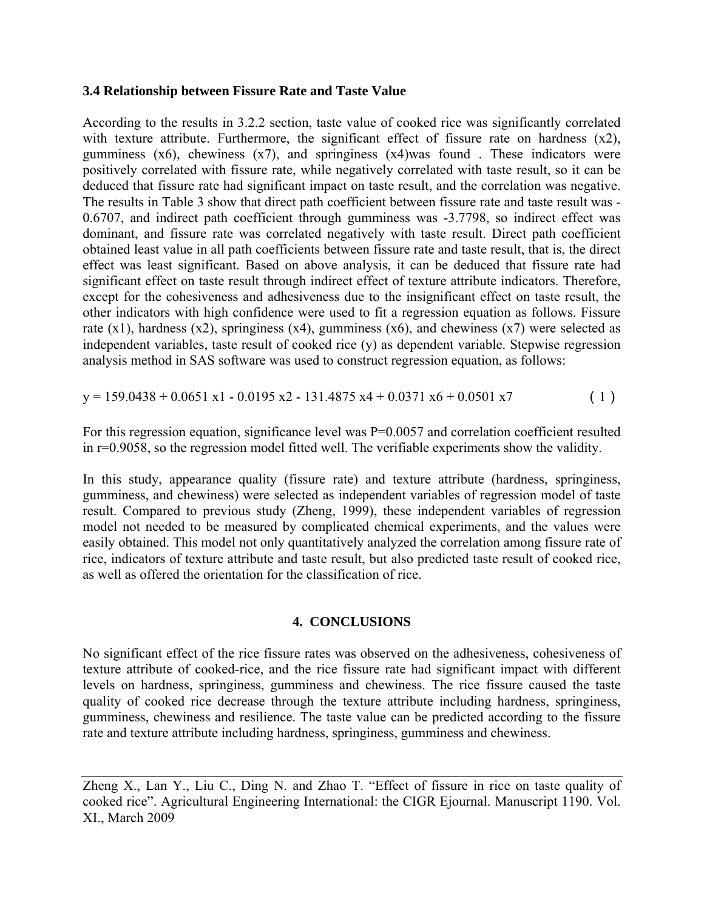### **3.4 Relationship between Fissure Rate and Taste Value**

According to the results in 3.2.2 section, taste value of cooked rice was significantly correlated with texture attribute. Furthermore, the significant effect of fissure rate on hardness  $(x2)$ , gumminess  $(x6)$ , chewiness  $(x7)$ , and springiness  $(x4)$ was found. These indicators were positively correlated with fissure rate, while negatively correlated with taste result, so it can be deduced that fissure rate had significant impact on taste result, and the correlation was negative. The results in Table 3 show that direct path coefficient between fissure rate and taste result was - 0.6707, and indirect path coefficient through gumminess was -3.7798, so indirect effect was dominant, and fissure rate was correlated negatively with taste result. Direct path coefficient obtained least value in all path coefficients between fissure rate and taste result, that is, the direct effect was least significant. Based on above analysis, it can be deduced that fissure rate had significant effect on taste result through indirect effect of texture attribute indicators. Therefore, except for the cohesiveness and adhesiveness due to the insignificant effect on taste result, the other indicators with high confidence were used to fit a regression equation as follows. Fissure rate  $(x1)$ , hardness  $(x2)$ , springiness  $(x4)$ , gumminess  $(x6)$ , and chewiness  $(x7)$  were selected as independent variables, taste result of cooked rice (y) as dependent variable. Stepwise regression analysis method in SAS software was used to construct regression equation, as follows:

 $y = 159.0438 + 0.0651 \text{ x1} - 0.0195 \text{ x2} - 131.4875 \text{ x4} + 0.0371 \text{ x6} + 0.0501 \text{ x7}$  (1)

For this regression equation, significance level was  $P=0.0057$  and correlation coefficient resulted in r=0.9058, so the regression model fitted well. The verifiable experiments show the validity.

In this study, appearance quality (fissure rate) and texture attribute (hardness, springiness, gumminess, and chewiness) were selected as independent variables of regression model of taste result. Compared to previous study (Zheng, 1999), these independent variables of regression model not needed to be measured by complicated chemical experiments, and the values were easily obtained. This model not only quantitatively analyzed the correlation among fissure rate of rice, indicators of texture attribute and taste result, but also predicted taste result of cooked rice, as well as offered the orientation for the classification of rice.

## **4. CONCLUSIONS**

No significant effect of the rice fissure rates was observed on the adhesiveness, cohesiveness of texture attribute of cooked-rice, and the rice fissure rate had significant impact with different levels on hardness, springiness, gumminess and chewiness. The rice fissure caused the taste quality of cooked rice decrease through the texture attribute including hardness, springiness, gumminess, chewiness and resilience. The taste value can be predicted according to the fissure rate and texture attribute including hardness, springiness, gumminess and chewiness.

Zheng X., Lan Y., Liu C., Ding N. and Zhao T. "Effect of fissure in rice on taste quality of cooked rice". Agricultural Engineering International: the CIGR Ejournal. Manuscript 1190. Vol. XI., March 2009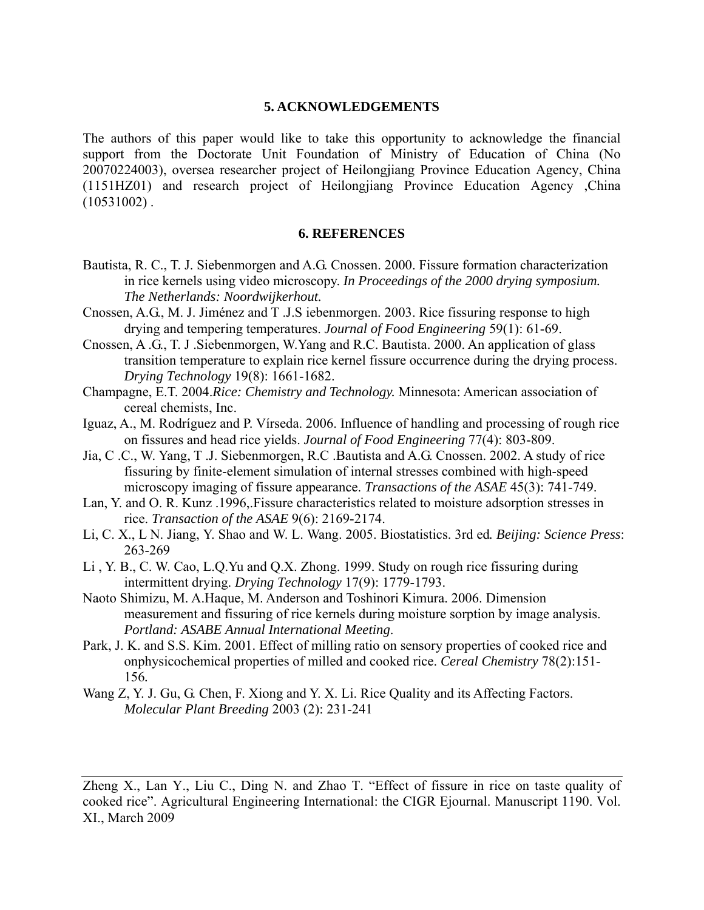#### **5. ACKNOWLEDGEMENTS**

The authors of this paper would like to take this opportunity to acknowledge the financial support from the Doctorate Unit Foundation of Ministry of Education of China (No 20070224003), oversea researcher project of Heilongjiang Province Education Agency, China (1151HZ01) and research project of Heilongjiang Province Education Agency ,China  $(10531002)$ .

#### **6. REFERENCES**

- Bautista, R. C., T. J. Siebenmorgen and A.G. Cnossen. 2000. Fissure formation characterization in rice kernels using video microscopy. *In Proceedings of the 2000 drying symposium. The Netherlands: Noordwijkerhout.*
- Cnossen, A.G., M. J. Jiménez and T .J.S iebenmorgen. 2003. Rice fissuring response to high drying and tempering temperatures. *Journal of Food Engineering* 59(1): 61-69.
- Cnossen, A .G., T. J .Siebenmorgen, W.Yang and R.C. Bautista. 2000. An application of glass transition temperature to explain rice kernel fissure occurrence during the drying process. *Drying Technology* 19(8): 1661-1682.
- Champagne, E.T. 2004.*Rice: Chemistry and Technology.* Minnesota: American association of cereal chemists, Inc.
- Iguaz, A., M. Rodríguez and P. Vírseda. 2006. Influence of handling and processing of rough rice on fissures and head rice yields. *Journal of Food Engineering* 77(4): 803-809.
- Jia, C .C., W. Yang, T .J. Siebenmorgen, R.C .Bautista and A.G. Cnossen. 2002. A study of rice fissuring by finite-element simulation of internal stresses combined with high-speed microscopy imaging of fissure appearance. *Transactions of the ASAE* 45(3): 741-749.
- Lan, Y. and O. R. Kunz .1996,.Fissure characteristics related to moisture adsorption stresses in rice. *Transaction of the ASAE* 9(6): 2169-2174.
- Li, C. X., L N. Jiang, Y. Shao and W. L. Wang. 2005. Biostatistics. 3rd ed*. Beijing: Science Press*: 263-269
- Li , Y. B., C. W. Cao, L.Q.Yu and Q.X. Zhong. 1999. Study on rough rice fissuring during intermittent drying. *Drying Technology* 17(9): 1779-1793.
- Naoto Shimizu, M. A.Haque, M. Anderson and Toshinori Kimura. 2006. Dimension measurement and fissuring of rice kernels during moisture sorption by image analysis. *Portland: ASABE Annual International Meeting*.
- Park, J. K. and S.S. Kim. 2001. Effect of milling ratio on sensory properties of cooked rice and onphysicochemical properties of milled and cooked rice. *Cereal Chemistry* 78(2):151- 156*.*
- Wang Z, Y. J. Gu, G. Chen, F. Xiong and Y. X. Li. Rice Quality and its Affecting Factors. *[Molecular Plant Breeding](http://lsk.cnki.net/KNS50/Navi/Bridge.aspx?LinkType=BaseLink&DBCode=cjfd&TableName=cjfdbaseinfo&Field=BaseID&Value=FZZW&NaviLink=%e5%88%86%e5%ad%90%e6%a4%8d%e7%89%a9%e8%82%b2%e7%a7%8d)* 2003 (2): 231-241

Zheng X., Lan Y., Liu C., Ding N. and Zhao T. "Effect of fissure in rice on taste quality of cooked rice". Agricultural Engineering International: the CIGR Ejournal. Manuscript 1190. Vol. XI., March 2009